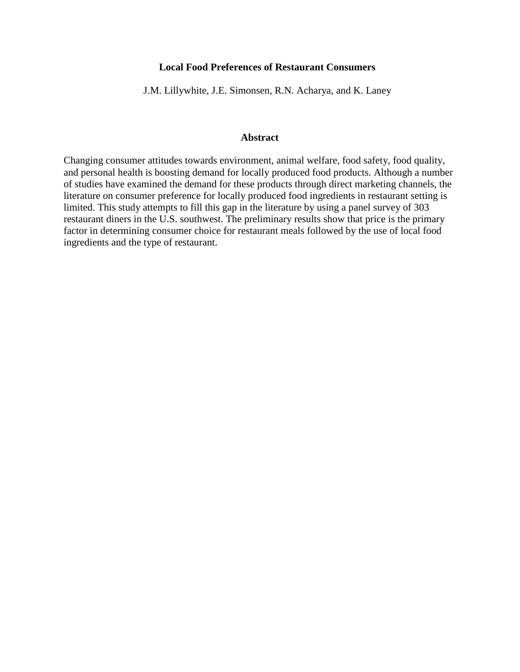# **Local Food Preferences of Restaurant Consumers**

J.M. Lillywhite, J.E. Simonsen, R.N. Acharya, and K. Laney

## **Abstract**

Changing consumer attitudes towards environment, animal welfare, food safety, food quality, and personal health is boosting demand for locally produced food products. Although a number of studies have examined the demand for these products through direct marketing channels, the literature on consumer preference for locally produced food ingredients in restaurant setting is limited. This study attempts to fill this gap in the literature by using a panel survey of 303 restaurant diners in the U.S. southwest. The preliminary results show that price is the primary factor in determining consumer choice for restaurant meals followed by the use of local food ingredients and the type of restaurant.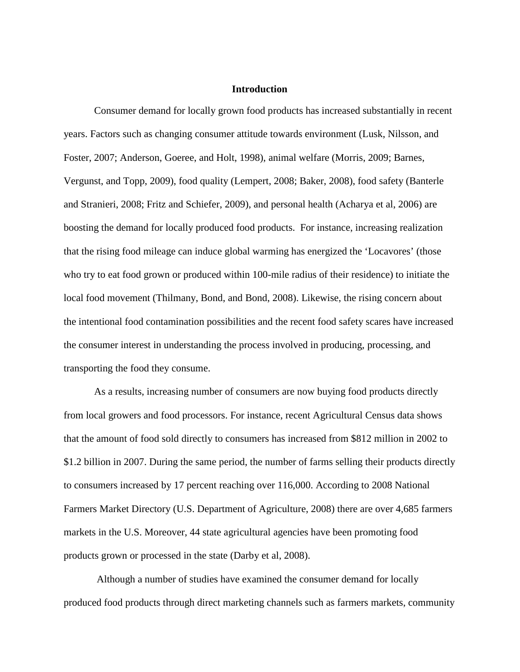## **Introduction**

Consumer demand for locally grown food products has increased substantially in recent years. Factors such as changing consumer attitude towards environment (Lusk, Nilsson, and Foster, 2007; Anderson, Goeree, and Holt, 1998), animal welfare (Morris, 2009; Barnes, Vergunst, and Topp, 2009), food quality (Lempert, 2008; Baker, 2008), food safety (Banterle and Stranieri, 2008; Fritz and Schiefer, 2009), and personal health (Acharya et al, 2006) are boosting the demand for locally produced food products. For instance, increasing realization that the rising food mileage can induce global warming has energized the 'Locavores' (those who try to eat food grown or produced within 100-mile radius of their residence) to initiate the local food movement (Thilmany, Bond, and Bond, 2008). Likewise, the rising concern about the intentional food contamination possibilities and the recent food safety scares have increased the consumer interest in understanding the process involved in producing, processing, and transporting the food they consume.

As a results, increasing number of consumers are now buying food products directly from local growers and food processors. For instance, recent Agricultural Census data shows that the amount of food sold directly to consumers has increased from \$812 million in 2002 to \$1.2 billion in 2007. During the same period, the number of farms selling their products directly to consumers increased by 17 percent reaching over 116,000. According to 2008 National Farmers Market Directory (U.S. Department of Agriculture, 2008) there are over 4,685 farmers markets in the U.S. Moreover, 44 state agricultural agencies have been promoting food products grown or processed in the state (Darby et al, 2008).

 Although a number of studies have examined the consumer demand for locally produced food products through direct marketing channels such as farmers markets, community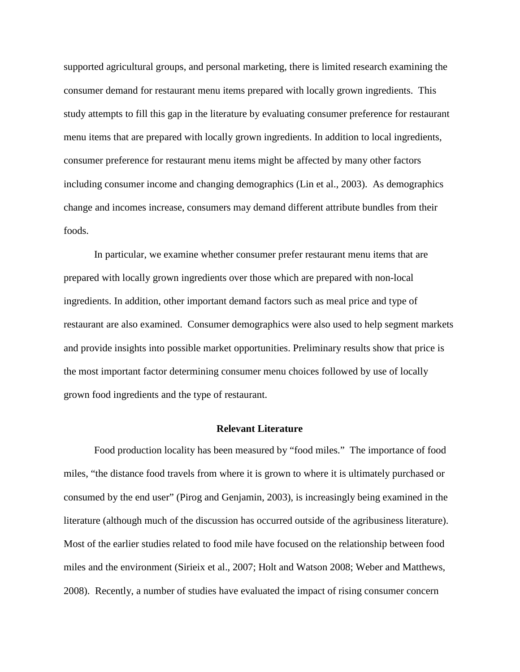supported agricultural groups, and personal marketing, there is limited research examining the consumer demand for restaurant menu items prepared with locally grown ingredients. This study attempts to fill this gap in the literature by evaluating consumer preference for restaurant menu items that are prepared with locally grown ingredients. In addition to local ingredients, consumer preference for restaurant menu items might be affected by many other factors including consumer income and changing demographics (Lin et al., 2003). As demographics change and incomes increase, consumers may demand different attribute bundles from their foods.

In particular, we examine whether consumer prefer restaurant menu items that are prepared with locally grown ingredients over those which are prepared with non-local ingredients. In addition, other important demand factors such as meal price and type of restaurant are also examined. Consumer demographics were also used to help segment markets and provide insights into possible market opportunities. Preliminary results show that price is the most important factor determining consumer menu choices followed by use of locally grown food ingredients and the type of restaurant.

### **Relevant Literature**

Food production locality has been measured by "food miles." The importance of food miles, "the distance food travels from where it is grown to where it is ultimately purchased or consumed by the end user" (Pirog and Genjamin, 2003), is increasingly being examined in the literature (although much of the discussion has occurred outside of the agribusiness literature). Most of the earlier studies related to food mile have focused on the relationship between food miles and the environment (Sirieix et al., 2007; Holt and Watson 2008; Weber and Matthews, 2008). Recently, a number of studies have evaluated the impact of rising consumer concern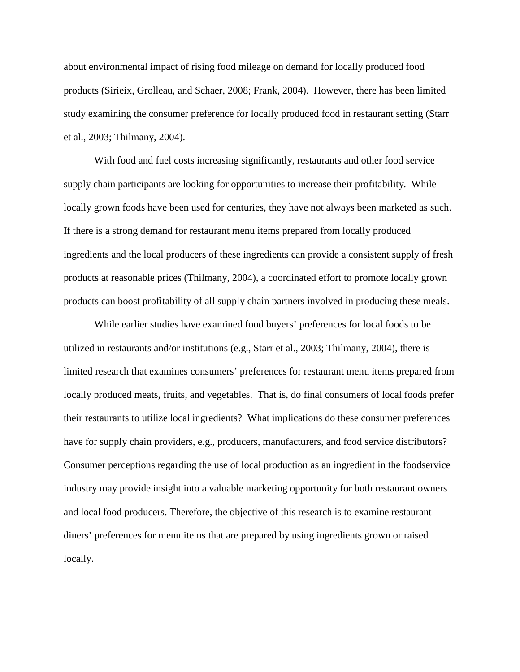about environmental impact of rising food mileage on demand for locally produced food products (Sirieix, Grolleau, and Schaer, 2008; Frank, 2004). However, there has been limited study examining the consumer preference for locally produced food in restaurant setting (Starr et al., 2003; Thilmany, 2004).

With food and fuel costs increasing significantly, restaurants and other food service supply chain participants are looking for opportunities to increase their profitability. While locally grown foods have been used for centuries, they have not always been marketed as such. If there is a strong demand for restaurant menu items prepared from locally produced ingredients and the local producers of these ingredients can provide a consistent supply of fresh products at reasonable prices (Thilmany, 2004), a coordinated effort to promote locally grown products can boost profitability of all supply chain partners involved in producing these meals.

While earlier studies have examined food buyers' preferences for local foods to be utilized in restaurants and/or institutions (e.g., Starr et al., 2003; Thilmany, 2004), there is limited research that examines consumers' preferences for restaurant menu items prepared from locally produced meats, fruits, and vegetables. That is, do final consumers of local foods prefer their restaurants to utilize local ingredients? What implications do these consumer preferences have for supply chain providers, e.g., producers, manufacturers, and food service distributors? Consumer perceptions regarding the use of local production as an ingredient in the foodservice industry may provide insight into a valuable marketing opportunity for both restaurant owners and local food producers. Therefore, the objective of this research is to examine restaurant diners' preferences for menu items that are prepared by using ingredients grown or raised locally.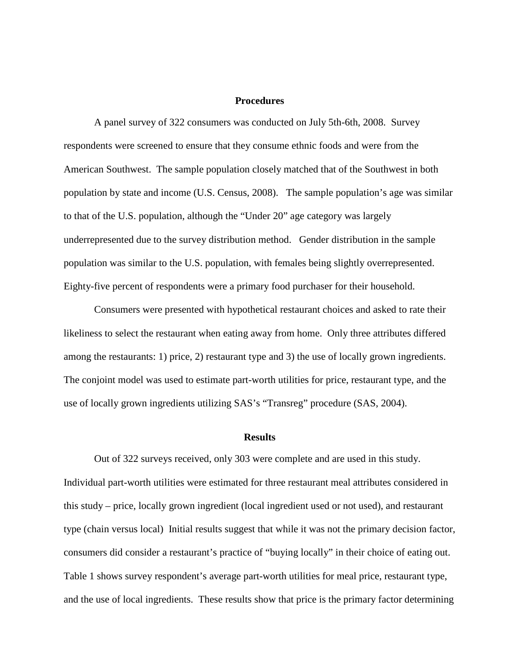#### **Procedures**

A panel survey of 322 consumers was conducted on July 5th-6th, 2008. Survey respondents were screened to ensure that they consume ethnic foods and were from the American Southwest. The sample population closely matched that of the Southwest in both population by state and income (U.S. Census, 2008). The sample population's age was similar to that of the U.S. population, although the "Under 20" age category was largely underrepresented due to the survey distribution method. Gender distribution in the sample population was similar to the U.S. population, with females being slightly overrepresented. Eighty-five percent of respondents were a primary food purchaser for their household.

Consumers were presented with hypothetical restaurant choices and asked to rate their likeliness to select the restaurant when eating away from home. Only three attributes differed among the restaurants: 1) price, 2) restaurant type and 3) the use of locally grown ingredients. The conjoint model was used to estimate part-worth utilities for price, restaurant type, and the use of locally grown ingredients utilizing SAS's "Transreg" procedure (SAS, 2004).

#### **Results**

Out of 322 surveys received, only 303 were complete and are used in this study. Individual part-worth utilities were estimated for three restaurant meal attributes considered in this study – price, locally grown ingredient (local ingredient used or not used), and restaurant type (chain versus local) Initial results suggest that while it was not the primary decision factor, consumers did consider a restaurant's practice of "buying locally" in their choice of eating out. Table 1 shows survey respondent's average part-worth utilities for meal price, restaurant type, and the use of local ingredients. These results show that price is the primary factor determining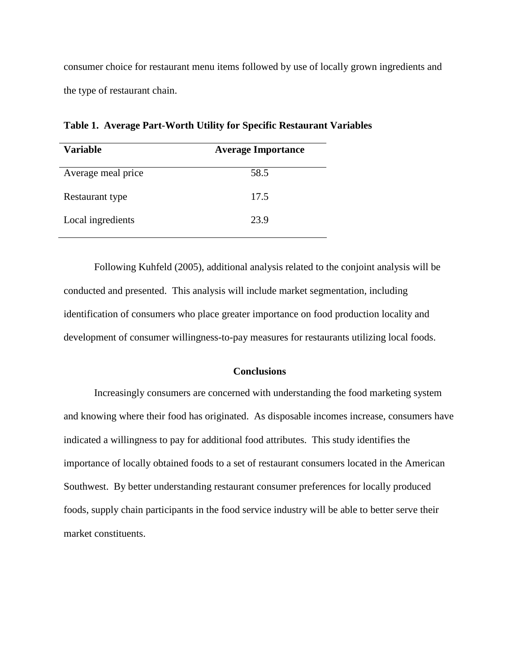consumer choice for restaurant menu items followed by use of locally grown ingredients and the type of restaurant chain.

| <b>Variable</b>    | <b>Average Importance</b> |
|--------------------|---------------------------|
| Average meal price | 58.5                      |
| Restaurant type    | 17.5                      |
| Local ingredients  | 23.9                      |

**Table 1. Average Part-Worth Utility for Specific Restaurant Variables** 

Following Kuhfeld (2005), additional analysis related to the conjoint analysis will be conducted and presented. This analysis will include market segmentation, including identification of consumers who place greater importance on food production locality and development of consumer willingness-to-pay measures for restaurants utilizing local foods.

## **Conclusions**

Increasingly consumers are concerned with understanding the food marketing system and knowing where their food has originated. As disposable incomes increase, consumers have indicated a willingness to pay for additional food attributes. This study identifies the importance of locally obtained foods to a set of restaurant consumers located in the American Southwest. By better understanding restaurant consumer preferences for locally produced foods, supply chain participants in the food service industry will be able to better serve their market constituents.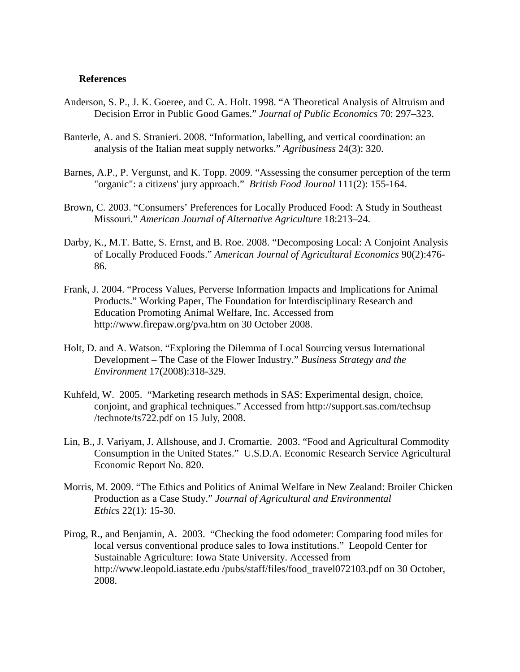## **References**

- Anderson, S. P., J. K. Goeree, and C. A. Holt. 1998. "A Theoretical Analysis of Altruism and Decision Error in Public Good Games." *Journal of Public Economics* 70: 297–323.
- Banterle, A. and S. Stranieri. 2008. "Information, labelling, and vertical coordination: an analysis of the Italian meat supply networks." *Agribusiness* 24(3): 320.
- Barnes, A.P., P. Vergunst, and K. Topp. 2009. "Assessing the consumer perception of the term "organic": a citizens' jury approach." *British Food Journal* 111(2): 155-164.
- Brown, C. 2003. "Consumers' Preferences for Locally Produced Food: A Study in Southeast Missouri." *American Journal of Alternative Agriculture* 18:213–24.
- Darby, K., M.T. Batte, S. Ernst, and B. Roe. 2008. "Decomposing Local: A Conjoint Analysis of Locally Produced Foods." *American Journal of Agricultural Economics* 90(2):476- 86.
- Frank, J. 2004. "Process Values, Perverse Information Impacts and Implications for Animal Products." Working Paper, The Foundation for Interdisciplinary Research and Education Promoting Animal Welfare, Inc. Accessed from http://www.firepaw.org/pva.htm on 30 October 2008.
- Holt, D. and A. Watson. "Exploring the Dilemma of Local Sourcing versus International Development – The Case of the Flower Industry." *Business Strategy and the Environment* 17(2008):318-329.
- Kuhfeld, W. 2005. "Marketing research methods in SAS: Experimental design, choice, conjoint, and graphical techniques." Accessed from http://support.sas.com/techsup /technote/ts722.pdf on 15 July, 2008.
- Lin, B., J. Variyam, J. Allshouse, and J. Cromartie. 2003. "Food and Agricultural Commodity Consumption in the United States." U.S.D.A. Economic Research Service Agricultural Economic Report No. 820.
- Morris, M. 2009. "The Ethics and Politics of Animal Welfare in New Zealand: Broiler Chicken Production as a Case Study." *Journal of Agricultural and Environmental Ethics* 22(1): 15-30.
- Pirog, R., and Benjamin, A. 2003. "Checking the food odometer: Comparing food miles for local versus conventional produce sales to Iowa institutions." Leopold Center for Sustainable Agriculture: Iowa State University. Accessed from http://www.leopold.iastate.edu /pubs/staff/files/food\_travel072103.pdf on 30 October, 2008.